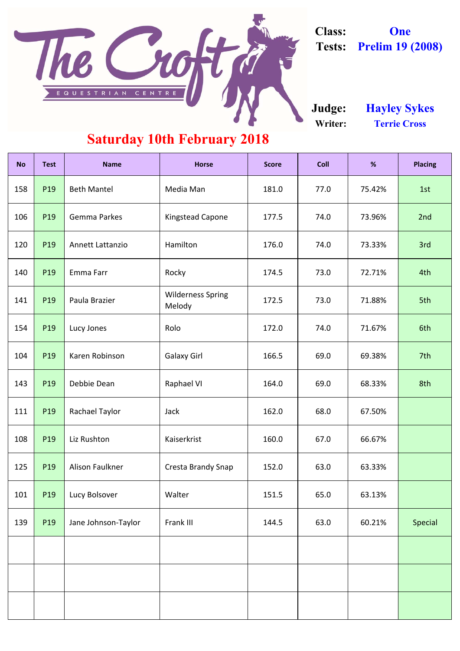| <b>No</b> | <b>Test</b> | <b>Name</b>             | <b>Horse</b>                       | <b>Score</b> | <b>Coll</b> | %      | <b>Placing</b> |
|-----------|-------------|-------------------------|------------------------------------|--------------|-------------|--------|----------------|
| 158       | P19         | <b>Beth Mantel</b>      | Media Man                          | 181.0        | 77.0        | 75.42% | 1st            |
| 106       | P19         | <b>Gemma Parkes</b>     | <b>Kingstead Capone</b>            | 177.5        | 74.0        | 73.96% | 2nd            |
| 120       | P19         | <b>Annett Lattanzio</b> | Hamilton                           | 176.0        | 74.0        | 73.33% | 3rd            |
| 140       | P19         | Emma Farr               | Rocky                              | 174.5        | 73.0        | 72.71% | 4th            |
| 141       | P19         | Paula Brazier           | <b>Wilderness Spring</b><br>Melody | 172.5        | 73.0        | 71.88% | 5th            |
| 154       | P19         | Lucy Jones              | Rolo                               | 172.0        | 74.0        | 71.67% | 6th            |
| 104       | P19         | Karen Robinson          | <b>Galaxy Girl</b>                 | 166.5        | 69.0        | 69.38% | 7th            |
| 143       | P19         | Debbie Dean             | <b>Raphael VI</b>                  | 164.0        | 69.0        | 68.33% | 8th            |
| 111       | P19         | <b>Rachael Taylor</b>   | Jack                               | 162.0        | 68.0        | 67.50% |                |
| 108       | P19         | Liz Rushton             | Kaiserkrist                        | 160.0        | 67.0        | 66.67% |                |
| 125       | P19         | Alison Faulkner         | <b>Cresta Brandy Snap</b>          | 152.0        | 63.0        | 63.33% |                |
| 101       | P19         | Lucy Bolsover           | Walter                             | 151.5        | 65.0        | 63.13% |                |
| 139       | P19         | Jane Johnson-Taylor     | Frank III                          | 144.5        | 63.0        | 60.21% | <b>Special</b> |
|           |             |                         |                                    |              |             |        |                |
|           |             |                         |                                    |              |             |        |                |
|           |             |                         |                                    |              |             |        |                |

**Writer: Terrie Cross Judge: Hayley Sykes**

#### **Saturday 10th February 2018**



**Class: One Tests: Prelim 19 (2008)**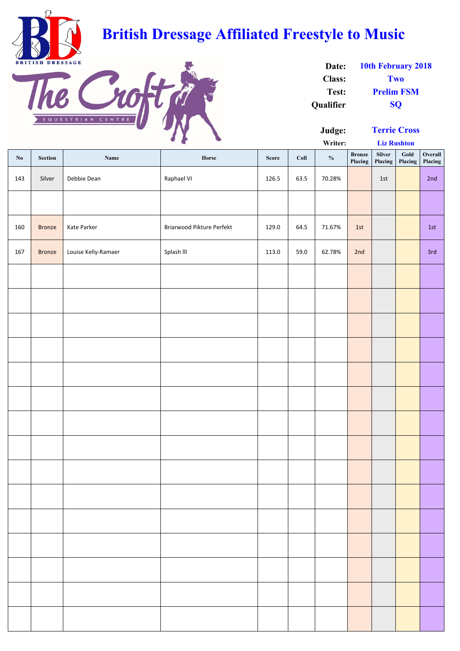**Writer:**

| $\mathbf{N}\mathbf{0}$ | Section       | Name                | Horse                     | <b>Score</b> | Coll | $\boldsymbol{\%}$ | <b>Bronze</b><br>Placing | Silver<br>Placing | Gold<br>Placing | Overall<br>Placing |
|------------------------|---------------|---------------------|---------------------------|--------------|------|-------------------|--------------------------|-------------------|-----------------|--------------------|
| 143                    | Silver        | Debbie Dean         | Raphael VI                | 126.5        | 63.5 | 70.28%            |                          | 1st               |                 | 2nd                |
|                        |               |                     |                           |              |      |                   |                          |                   |                 |                    |
| 160                    | <b>Bronze</b> | Kate Parker         | Briarwood Pikture Perfekt | 129.0        | 64.5 | 71.67%            | 1st                      |                   |                 | 1st                |
| 167                    | <b>Bronze</b> | Louise Kelly-Ramaer | Splash III                | 113.0        | 59.0 | 62.78%            | 2nd                      |                   |                 | 3rd                |
|                        |               |                     |                           |              |      |                   |                          |                   |                 |                    |
|                        |               |                     |                           |              |      |                   |                          |                   |                 |                    |
|                        |               |                     |                           |              |      |                   |                          |                   |                 |                    |
|                        |               |                     |                           |              |      |                   |                          |                   |                 |                    |
|                        |               |                     |                           |              |      |                   |                          |                   |                 |                    |
|                        |               |                     |                           |              |      |                   |                          |                   |                 |                    |
|                        |               |                     |                           |              |      |                   |                          |                   |                 |                    |
|                        |               |                     |                           |              |      |                   |                          |                   |                 |                    |
|                        |               |                     |                           |              |      |                   |                          |                   |                 |                    |
|                        |               |                     |                           |              |      |                   |                          |                   |                 |                    |
|                        |               |                     |                           |              |      |                   |                          |                   |                 |                    |
|                        |               |                     |                           |              |      |                   |                          |                   |                 |                    |
|                        |               |                     |                           |              |      |                   |                          |                   |                 |                    |
|                        |               |                     |                           |              |      |                   |                          |                   |                 |                    |
|                        |               |                     |                           |              |      |                   |                          |                   |                 |                    |

| Date:            | <b>10th February 2018</b> |
|------------------|---------------------------|
| <b>Class:</b>    | Two                       |
| Test:            | <b>Prelim FSM</b>         |
| <b>Qualifier</b> | <b>SO</b>                 |



# **British Dressage Affiliated Freestyle to Music**



**Liz Rushton**

**Terrie Cross**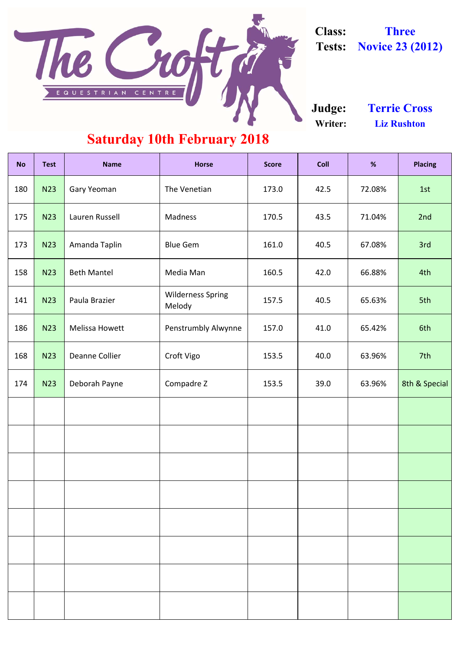| <b>No</b> | <b>Test</b> | <b>Name</b>           | <b>Horse</b>                       | <b>Score</b> | <b>Coll</b>    | %      | <b>Placing</b> |
|-----------|-------------|-----------------------|------------------------------------|--------------|----------------|--------|----------------|
| 180       | <b>N23</b>  | <b>Gary Yeoman</b>    | The Venetian                       | 173.0        | 42.5           | 72.08% | 1st            |
| 175       | <b>N23</b>  | Lauren Russell        | Madness                            | 170.5        | 43.5           | 71.04% | 2nd            |
| 173       | <b>N23</b>  | Amanda Taplin         | <b>Blue Gem</b>                    | 161.0        | 40.5           | 67.08% | 3rd            |
| 158       | <b>N23</b>  | <b>Beth Mantel</b>    | Media Man                          | 160.5        | 42.0           | 66.88% | 4th            |
| 141       | <b>N23</b>  | Paula Brazier         | <b>Wilderness Spring</b><br>Melody | 157.5        | 40.5           | 65.63% | 5th            |
| 186       | <b>N23</b>  | <b>Melissa Howett</b> | <b>Penstrumbly Alwynne</b>         | 157.0        | 41.0<br>65.42% |        | 6th            |
| 168       | <b>N23</b>  | Deanne Collier        | Croft Vigo                         | 153.5        | 40.0           | 63.96% |                |
| 174       | <b>N23</b>  | Deborah Payne         | Compadre Z                         | 153.5        | 39.0           | 63.96% | 8th & Special  |
|           |             |                       |                                    |              |                |        |                |
|           |             |                       |                                    |              |                |        |                |
|           |             |                       |                                    |              |                |        |                |
|           |             |                       |                                    |              |                |        |                |
|           |             |                       |                                    |              |                |        |                |
|           |             |                       |                                    |              |                |        |                |
|           |             |                       |                                    |              |                |        |                |
|           |             |                       |                                    |              |                |        |                |

**Writer: Liz Rushton Judge: Terrie Cross**

### **Saturday 10th February 2018**



**Class: Three Tests: Novice 23 (2012)**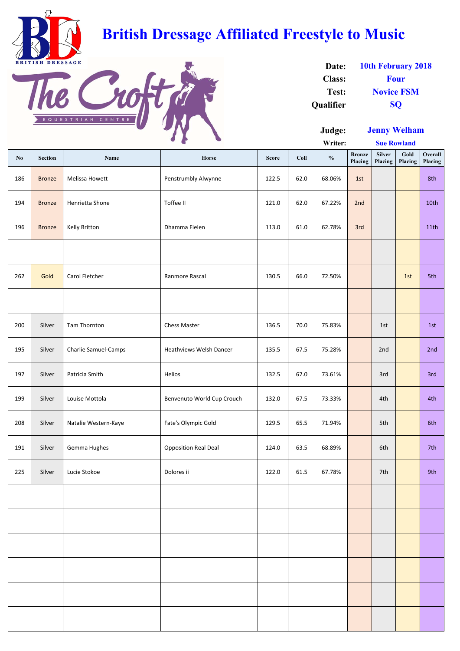**Writer:**

| $\mathbf{N}\mathbf{0}$ | <b>Section</b> | <b>Name</b>                 | Horse                          | <b>Score</b> | Coll | $\mathbf{0}_{\mathbf{0}}^{\prime}$ | <b>Bronze</b><br>Placing | Silver<br>Placing | Gold<br>Placing | Overall<br>Placing |
|------------------------|----------------|-----------------------------|--------------------------------|--------------|------|------------------------------------|--------------------------|-------------------|-----------------|--------------------|
| 186                    | <b>Bronze</b>  | Melissa Howett              | Penstrumbly Alwynne            | 122.5        | 62.0 | 68.06%                             | 1st                      |                   |                 | 8th                |
| 194                    | <b>Bronze</b>  | Henrietta Shone             | Toffee II                      | 121.0        | 62.0 | 67.22%                             | 2nd                      |                   |                 | 10th               |
| 196                    | <b>Bronze</b>  | Kelly Britton               | Dhamma Fielen                  | 113.0        | 61.0 | 62.78%                             | 3rd                      |                   |                 | 11th               |
|                        |                |                             |                                |              |      |                                    |                          |                   |                 |                    |
| 262                    | Gold           | Carol Fletcher              | Ranmore Rascal                 | 130.5        | 66.0 | 72.50%                             |                          |                   | 1st             | 5th                |
|                        |                |                             |                                |              |      |                                    |                          |                   |                 |                    |
| 200                    | Silver         | Tam Thornton                | <b>Chess Master</b>            | 136.5        | 70.0 | 75.83%                             |                          | 1st               |                 | 1st                |
| 195                    | Silver         | <b>Charlie Samuel-Camps</b> | <b>Heathviews Welsh Dancer</b> | 135.5        | 67.5 | 75.28%                             |                          | 2nd               |                 | 2nd                |
| 197                    | Silver         | Patricia Smith              | Helios                         | 132.5        | 67.0 | 73.61%                             |                          | 3rd               |                 | 3rd                |
| 199                    | Silver         | Louise Mottola              | Benvenuto World Cup Crouch     | 132.0        | 67.5 | 73.33%                             |                          | 4th               |                 | 4th                |
| 208                    | Silver         | Natalie Western-Kaye        | Fate's Olympic Gold            | 129.5        | 65.5 | 71.94%                             |                          | 5th               |                 | 6th                |
| 191                    | Silver         | Gemma Hughes                | <b>Opposition Real Deal</b>    | 124.0        | 63.5 | 68.89%                             |                          | 6th               |                 | 7th                |
| 225                    | Silver         | Lucie Stokoe                | Dolores ii                     | 122.0        | 61.5 | 67.78%                             |                          | 7th               |                 | 9th                |
|                        |                |                             |                                |              |      |                                    |                          |                   |                 |                    |
|                        |                |                             |                                |              |      |                                    |                          |                   |                 |                    |
|                        |                |                             |                                |              |      |                                    |                          |                   |                 |                    |
|                        |                |                             |                                |              |      |                                    |                          |                   |                 |                    |
|                        |                |                             |                                |              |      |                                    |                          |                   |                 |                    |
|                        |                |                             |                                |              |      |                                    |                          |                   |                 |                    |

| Date:            | <b>10th February 2018</b> |
|------------------|---------------------------|
| <b>Class:</b>    | <b>Four</b>               |
| Test:            | <b>Novice FSM</b>         |
| <b>Oualifier</b> | <b>SO</b>                 |

**Sue Rowland**



# **British Dressage Affiliated Freestyle to Music**



**Jenny Welham**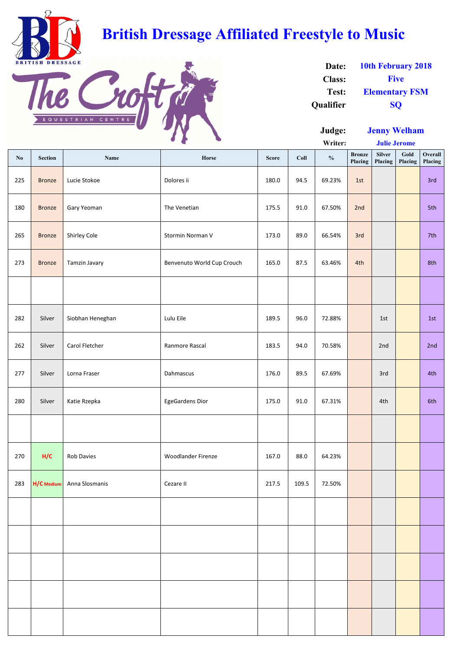|       |                |                  |                            |              |                 | $-1$ - $-5$   |                          | $\sim$ $\sim$ $\sim$ $\sim$ $\sim$ | $11.7$ <b>The contract of the set of the set of the set of the set of the set of the set of the set of the set of the set of the set of the set of the set of the set of the set of the set of the set of the set of the set of</b> |                    |
|-------|----------------|------------------|----------------------------|--------------|-----------------|---------------|--------------------------|------------------------------------|-------------------------------------------------------------------------------------------------------------------------------------------------------------------------------------------------------------------------------------|--------------------|
|       |                |                  | $J \rightarrow$            |              |                 | Writer:       |                          | <b>Julie Jerome</b>                |                                                                                                                                                                                                                                     |                    |
| No    | <b>Section</b> | Name             | Horse                      | <b>Score</b> | Coll            | $\frac{0}{0}$ | <b>Bronze</b><br>Placing | <b>Silver</b><br>Placing           | Gold<br>Placing                                                                                                                                                                                                                     | Overall<br>Placing |
| 225   | <b>Bronze</b>  | Lucie Stokoe     | Dolores ii                 | 180.0        | 94.5            | 69.23%        | 1st                      |                                    |                                                                                                                                                                                                                                     | 3rd                |
| 180   | <b>Bronze</b>  | Gary Yeoman      | The Venetian               | 175.5        | 91.0            | 67.50%        | 2nd                      |                                    |                                                                                                                                                                                                                                     | 5th                |
| 265   | <b>Bronze</b>  | Shirley Cole     | Stormin Norman V           | 173.0        | 89.0            | 66.54%        | 3rd                      |                                    |                                                                                                                                                                                                                                     | 7th                |
| 273   | <b>Bronze</b>  | Tamzin Javary    | Benvenuto World Cup Crouch | 165.0        | 87.5            | 63.46%        | 4th                      |                                    |                                                                                                                                                                                                                                     | 8th                |
|       |                |                  |                            |              |                 |               |                          |                                    |                                                                                                                                                                                                                                     |                    |
| 282   | Silver         | Siobhan Heneghan | Lulu Eile                  | 189.5        | 96.0            | 72.88%        |                          | 1st                                |                                                                                                                                                                                                                                     | 1st                |
| 262   | Silver         | Carol Fletcher   | Ranmore Rascal             | 183.5        | 94.0            | 70.58%        |                          | 2nd                                |                                                                                                                                                                                                                                     | 2nd                |
| 277   | Silver         | Lorna Fraser     | Dahmascus                  | 176.0        | 89.5            | 67.69%        |                          | 3rd                                |                                                                                                                                                                                                                                     | 4th                |
| 280 L | Silver         | Katie Rzenka     | <b>EgeGardens Dior</b>     | 175 Q        | 91 <sub>0</sub> | 67 31%        |                          | 4th                                |                                                                                                                                                                                                                                     | 6th                |

277 | Silver | Lorna Fraser | Dahmascus | 176.0 | 89.5 | 67.69% | | 3rd | | 4th 280 | Silver | Katie Rzepka | EgeGardens Dior | 175.0 | 91.0 | 67.31% | | 4th | | 6th 270 **H/C** Rob Davies Woodlander Firenze 167.0 88.0 64.23% 283 **H/C** Medium Anna Slosmanis (Cezare II cezare II 217.5 109.5 72.50%)

| Date:         | <b>10th February 2018</b> |
|---------------|---------------------------|
| <b>Class:</b> | <b>Five</b>               |
| Test:         | <b>Elementary FSM</b>     |
| Qualifier     | <b>SO</b>                 |



### **British Dressage Affiliated Freestyle to Music**



**Jenny Welham**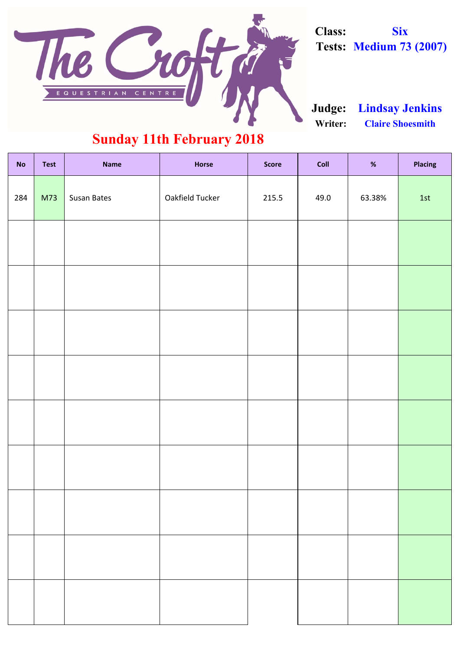| <b>No</b> | <b>Test</b> | <b>Name</b>        | <b>Horse</b>    | <b>Score</b> | Coll | %      | Placing |
|-----------|-------------|--------------------|-----------------|--------------|------|--------|---------|
| 284       | M73         | <b>Susan Bates</b> | Oakfield Tucker | 215.5        | 49.0 | 63.38% | 1st     |
|           |             |                    |                 |              |      |        |         |
|           |             |                    |                 |              |      |        |         |
|           |             |                    |                 |              |      |        |         |
|           |             |                    |                 |              |      |        |         |
|           |             |                    |                 |              |      |        |         |
|           |             |                    |                 |              |      |        |         |
|           |             |                    |                 |              |      |        |         |
|           |             |                    |                 |              |      |        |         |
|           |             |                    |                 |              |      |        |         |

**Writer: Claire Shoesmith Judge: Lindsay Jenkins**

#### **Sunday 11th February 2018**



**Class: Six Tests: Medium 73 (2007)**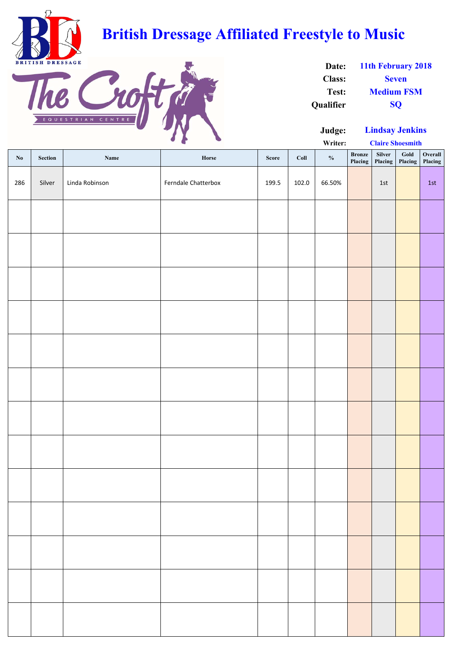**Writer:**

| $\mathbf{N}\mathbf{0}$ | Section | Name           | Horse               | Score | Coll  | $\frac{0}{0}$ | <b>Bronze</b><br><b>Placing</b> | Silver<br><b>Placing</b> | Gold<br>Placing | Overall<br>Placing |
|------------------------|---------|----------------|---------------------|-------|-------|---------------|---------------------------------|--------------------------|-----------------|--------------------|
| 286                    | Silver  | Linda Robinson | Ferndale Chatterbox | 199.5 | 102.0 | 66.50%        |                                 | $1st$                    |                 | 1st                |
|                        |         |                |                     |       |       |               |                                 |                          |                 |                    |
|                        |         |                |                     |       |       |               |                                 |                          |                 |                    |
|                        |         |                |                     |       |       |               |                                 |                          |                 |                    |
|                        |         |                |                     |       |       |               |                                 |                          |                 |                    |
|                        |         |                |                     |       |       |               |                                 |                          |                 |                    |
|                        |         |                |                     |       |       |               |                                 |                          |                 |                    |
|                        |         |                |                     |       |       |               |                                 |                          |                 |                    |
|                        |         |                |                     |       |       |               |                                 |                          |                 |                    |
|                        |         |                |                     |       |       |               |                                 |                          |                 |                    |
|                        |         |                |                     |       |       |               |                                 |                          |                 |                    |
|                        |         |                |                     |       |       |               |                                 |                          |                 |                    |
|                        |         |                |                     |       |       |               |                                 |                          |                 |                    |
|                        |         |                |                     |       |       |               |                                 |                          |                 |                    |
|                        |         |                |                     |       |       |               |                                 |                          |                 |                    |
|                        |         |                |                     |       |       |               |                                 |                          |                 |                    |

| Date:            | 11th February 2018 |
|------------------|--------------------|
| <b>Class:</b>    | <b>Seven</b>       |
| Test:            | <b>Medium FSM</b>  |
| <b>Qualifier</b> | SO <sub>1</sub>    |

**Claire Shoesmith**



## **British Dressage Affiliated Freestyle to Music**



**Lindsay Jenkins**